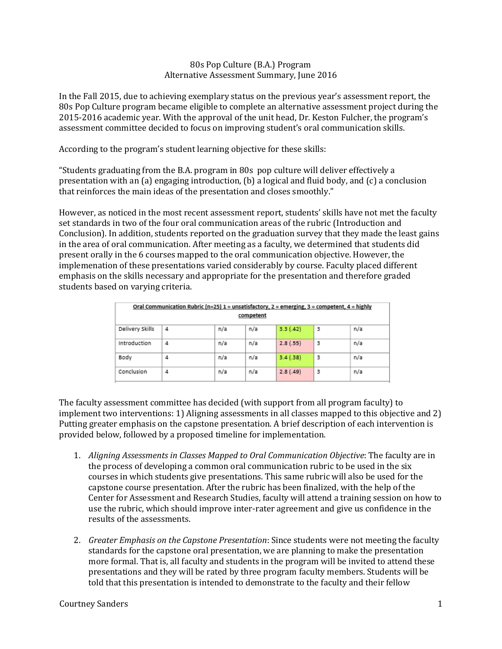## 80s Pop Culture (B.A.) Program Alternative Assessment Summary, June 2016

In the Fall 2015, due to achieving exemplary status on the previous year's assessment report, the 80s Pop Culture program became eligible to complete an alternative assessment project during the 2015-2016 academic year. With the approval of the unit head, Dr. Keston Fulcher, the program's assessment committee decided to focus on improving student's oral communication skills.

According to the program's student learning objective for these skills:

"Students graduating from the B.A. program in 80s pop culture will deliver effectively a presentation with an (a) engaging introduction, (b) a logical and fluid body, and (c) a conclusion that reinforces the main ideas of the presentation and closes smoothly."

However, as noticed in the most recent assessment report, students' skills have not met the faculty set standards in two of the four oral communication areas of the rubric (Introduction and Conclusion). In addition, students reported on the graduation survey that they made the least gains in the area of oral communication. After meeting as a faculty, we determined that students did present orally in the 6 courses mapped to the oral communication objective. However, the implemenation of these presentations varied considerably by course. Faculty placed different emphasis on the skills necessary and appropriate for the presentation and therefore graded students based on varying criteria.

| Oral Communication Rubric (n=25) 1 = unsatisfactory, 2 = emerging, 3 = competent, 4 = highly<br>competent |   |     |     |           |   |     |  |  |  |  |
|-----------------------------------------------------------------------------------------------------------|---|-----|-----|-----------|---|-----|--|--|--|--|
| Delivery Skills                                                                                           | 4 | n/a | n/a | 3.3(.42)  | з | n/a |  |  |  |  |
| Introduction                                                                                              | 4 | n/a | n/a | 2.8(.55)  | 3 | n/a |  |  |  |  |
| Body                                                                                                      | 4 | n/a | n/a | 3.4(0.38) | 3 | n/a |  |  |  |  |
| Conclusion                                                                                                | 4 | n/a | n/a | 2.8(0.49) | з | n/a |  |  |  |  |

The faculty assessment committee has decided (with support from all program faculty) to implement two interventions: 1) Aligning assessments in all classes mapped to this objective and 2) Putting greater emphasis on the capstone presentation. A brief description of each intervention is provided below, followed by a proposed timeline for implementation.

- 1. *Aligning Assessments in Classes Mapped to Oral Communication Objective*: The faculty are in the process of developing a common oral communication rubric to be used in the six courses in which students give presentations. This same rubric will also be used for the capstone course presentation. After the rubric has been finalized, with the help of the Center for Assessment and Research Studies, faculty will attend a training session on how to use the rubric, which should improve inter-rater agreement and give us confidence in the results of the assessments.
- 2. *Greater Emphasis on the Capstone Presentation*: Since students were not meeting the faculty standards for the capstone oral presentation, we are planning to make the presentation more formal. That is, all faculty and students in the program will be invited to attend these presentations and they will be rated by three program faculty members. Students will be told that this presentation is intended to demonstrate to the faculty and their fellow